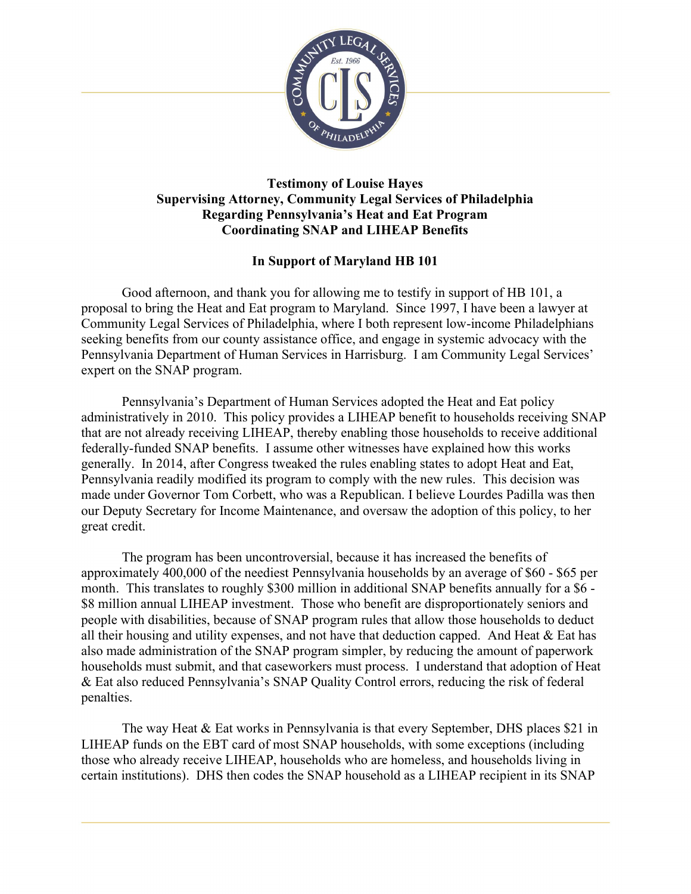

## Testimony of Louise Hayes Supervising Attorney, Community Legal Services of Philadelphia Regarding Pennsylvania's Heat and Eat Program Coordinating SNAP and LIHEAP Benefits

## In Support of Maryland HB 101

Good afternoon, and thank you for allowing me to testify in support of HB 101, a proposal to bring the Heat and Eat program to Maryland. Since 1997, I have been a lawyer at Community Legal Services of Philadelphia, where I both represent low-income Philadelphians seeking benefits from our county assistance office, and engage in systemic advocacy with the Pennsylvania Department of Human Services in Harrisburg. I am Community Legal Services' expert on the SNAP program.

Pennsylvania's Department of Human Services adopted the Heat and Eat policy administratively in 2010. This policy provides a LIHEAP benefit to households receiving SNAP that are not already receiving LIHEAP, thereby enabling those households to receive additional federally-funded SNAP benefits. I assume other witnesses have explained how this works generally. In 2014, after Congress tweaked the rules enabling states to adopt Heat and Eat, Pennsylvania readily modified its program to comply with the new rules. This decision was made under Governor Tom Corbett, who was a Republican. I believe Lourdes Padilla was then our Deputy Secretary for Income Maintenance, and oversaw the adoption of this policy, to her great credit.

The program has been uncontroversial, because it has increased the benefits of approximately 400,000 of the neediest Pennsylvania households by an average of \$60 - \$65 per month. This translates to roughly \$300 million in additional SNAP benefits annually for a \$6 - \$8 million annual LIHEAP investment. Those who benefit are disproportionately seniors and people with disabilities, because of SNAP program rules that allow those households to deduct all their housing and utility expenses, and not have that deduction capped. And Heat  $&$  Eat has also made administration of the SNAP program simpler, by reducing the amount of paperwork households must submit, and that caseworkers must process. I understand that adoption of Heat & Eat also reduced Pennsylvania's SNAP Quality Control errors, reducing the risk of federal penalties.

The way Heat & Eat works in Pennsylvania is that every September, DHS places \$21 in LIHEAP funds on the EBT card of most SNAP households, with some exceptions (including those who already receive LIHEAP, households who are homeless, and households living in certain institutions). DHS then codes the SNAP household as a LIHEAP recipient in its SNAP